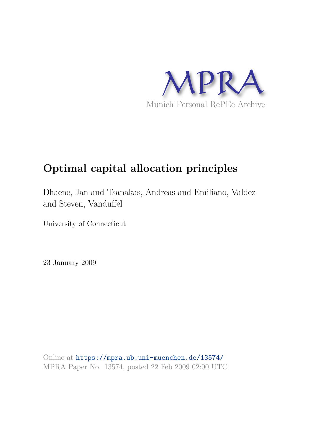

# **Optimal capital allocation principles**

Dhaene, Jan and Tsanakas, Andreas and Emiliano, Valdez and Steven, Vanduffel

University of Connecticut

23 January 2009

Online at https://mpra.ub.uni-muenchen.de/13574/ MPRA Paper No. 13574, posted 22 Feb 2009 02:00 UTC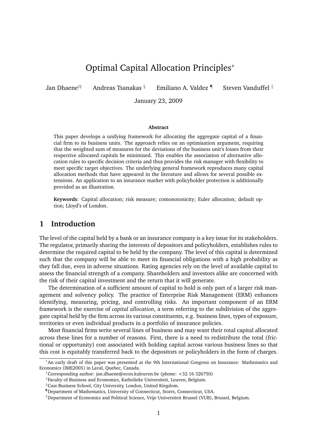## Optimal Capital Allocation Principles<sup>∗</sup>

Jan Dhaene<sup>†‡</sup> Andreas Tsanakas § Emiliano A. Valdez ¶ Steven Vanduffel  $\parallel$ 

January 23, 2009

#### **Abstract**

This paper develops a unifying framework for allocating the aggregate capital of a financial firm to its business units. The approach relies on an optimisation argument, requiring that the weighted sum of measures for the deviations of the business unit's losses from their respective allocated capitals be minimised. This enables the association of alternative allocation rules to specific decision criteria and thus provides the risk manager with flexibility to meet specific target objectives. The underlying general framework reproduces many capital allocation methods that have appeared in the literature and allows for several possible extensions. An application to an insurance market with policyholder protection is additionally provided as an illustration.

**Keywords**: Capital allocation; risk measure; comonotonicity; Euler allocation; default option; Lloyd's of London.

## **1 Introduction**

The level of the capital held by a bank or an insurance company is a key issue for its stakeholders. The regulator, primarily sharing the interests of depositors and policyholders, establishes rules to determine the required capital to be held by the company. The level of this capital is determined such that the company will be able to meet its financial obligations with a high probability as they fall due, even in adverse situations. Rating agencies rely on the level of available capital to assess the financial strength of a company. Shareholders and investors alike are concerned with the risk of their capital investment and the return that it will generate.

The determination of a sufficient amount of capital to hold is only part of a larger risk management and solvency policy. The practice of Enterprise Risk Management (ERM) enhances identifying, measuring, pricing, and controlling risks. An important component of an ERM framework is the exercise of *capital allocation*, a term referring to the subdivision of the aggregate capital held by the firm across its various constituents, e.g. business lines, types of exposure, territories or even individual products in a portfolio of insurance policies.

Most financial firms write several lines of business and may want their total capital allocated across these lines for a number of reasons. First, there is a need to redistribute the total (frictional or opportunity) cost associated with holding capital across various business lines so that this cost is equitably transferred back to the depositors or policyholders in the form of charges.

<sup>∗</sup>An early draft of this paper was presented at the 9th International Congress on Insurance: Mathematics and Economics (IME2005) in Laval, Quebec, Canada.

<sup>†</sup>Corresponding author: jan.dhaene@econ.kuleuven.be (phone: +32 16 326750)

<sup>‡</sup> Faculty of Business and Economics, Katholieke Universiteit, Leuven, Belgium.

<sup>§</sup>Cass Business School, City University, London, United Kingdom.

<sup>¶</sup>Department of Mathematics, University of Connecticut, Storrs, Connecticut, USA.

 $\parallel$ Department of Economics and Political Science, Vrije Universiteit Brussel (VUB), Brussel, Belgium.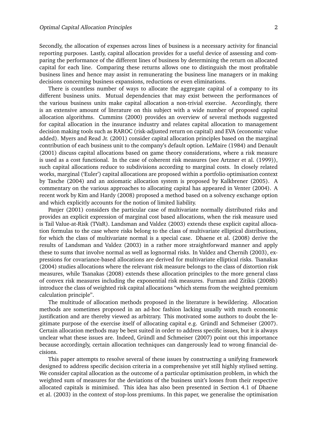Secondly, the allocation of expenses across lines of business is a necessary activity for financial reporting purposes. Lastly, capital allocation provides for a useful device of assessing and comparing the performance of the different lines of business by determining the return on allocated capital for each line. Comparing these returns allows one to distinguish the most profitable business lines and hence may assist in remunerating the business line managers or in making decisions concerning business expansions, reductions or even eliminations.

There is countless number of ways to allocate the aggregate capital of a company to its different business units. Mutual dependencies that may exist between the performances of the various business units make capital allocation a non-trivial exercise. Accordingly, there is an extensive amount of literature on this subject with a wide number of proposed capital allocation algorithms. Cummins (2000) provides an overview of several methods suggested for capital allocation in the insurance industry and relates capital allocation to management decision making tools such as RAROC (risk-adjusted return on capital) and EVA (economic value added). Myers and Read Jr. (2001) consider capital allocation principles based on the marginal contribution of each business unit to the company's default option. LeMaire (1984) and Denault (2001) discuss capital allocations based on game theory considerations, where a risk measure is used as a cost functional. In the case of coherent risk measures (see Artzner et al. (1999)), such capital allocations reduce to subdivisions according to marginal costs. In closely related works, marginal ('Euler') capital allocations are proposed within a portfolio optimisation context by Tasche (2004) and an axiomatic allocation system is proposed by Kalkbrener (2005). A commentary on the various approaches to allocating capital has appeared in Venter (2004). A recent work by Kim and Hardy (2008) proposed a method based on a solvency exchange option and which explicitly accounts for the notion of limited liability.

Panjer (2001) considers the particular case of multivariate normally distributed risks and provides an explicit expression of marginal cost based allocations, when the risk measure used is Tail Value-at-Risk (TVaR). Landsman and Valdez (2003) extends these explicit capital allocation formulas to the case where risks belong to the class of multivariate elliptical distributions, for which the class of multivariate normal is a special case. Dhaene et al. (2008) derive the results of Landsman and Valdez (2003) in a rather more straightforward manner and apply these to sums that involve normal as well as lognormal risks. In Valdez and Chernih (2003), expressions for covariance-based allocations are derived for multivariate elliptical risks. Tsanakas (2004) studies allocations where the relevant risk measure belongs to the class of distortion risk measures, while Tsanakas (2008) extends these allocation principles to the more general class of convex risk measures including the exponential risk measures. Furman and Zitikis (2008b) introduce the class of weighted risk capital allocations "which stems from the weighted premium calculation principle".

The multitude of allocation methods proposed in the literature is bewildering. Allocation methods are sometimes proposed in an ad-hoc fashion lacking usually with much economic justification and are thereby viewed as arbitrary. This motivated some authors to doubt the legitimate purpose of the exercise itself of allocating capital e.g. Gründl and Schmeiser  $(2007)$ . Certain allocation methods may be best suited in order to address specific issues, but it is always unclear what these issues are. Indeed, Gründl and Schmeiser (2007) point out this importance because accordingly, certain allocation techniques can dangerously lead to wrong financial decisions.

This paper attempts to resolve several of these issues by constructing a unifying framework designed to address specific decision criteria in a comprehensive yet still highly stylised setting. We consider capital allocation as the outcome of a particular optimisation problem, in which the weighted sum of measures for the deviations of the business unit's losses from their respective allocated capitals is minimised. This idea has also been presented in Section 4.1 of Dhaene et al. (2003) in the context of stop-loss premiums. In this paper, we generalise the optimisation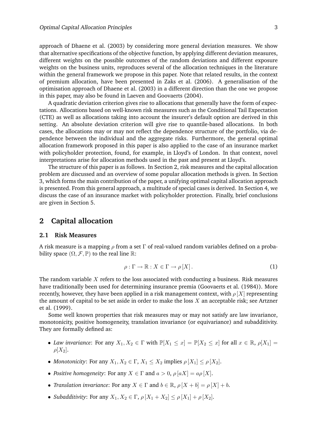approach of Dhaene et al. (2003) by considering more general deviation measures. We show that alternative specifications of the objective function, by applying different deviation measures, different weights on the possible outcomes of the random deviations and different exposure weights on the business units, reproduces several of the allocation techniques in the literature within the general framework we propose in this paper. Note that related results, in the context of premium allocation, have been presented in Zaks et al. (2006). A generalisation of the optimisation approach of Dhaene et al. (2003) in a different direction than the one we propose in this paper, may also be found in Laeven and Goovaerts (2004).

A quadratic deviation criterion gives rise to allocations that generally have the form of expectations. Allocations based on well-known risk measures such as the Conditional Tail Expectation (CTE) as well as allocations taking into account the insurer's default option are derived in this setting. An absolute deviation criterion will give rise to quantile-based allocations. In both cases, the allocations may or may not reflect the dependence structure of the portfolio, via dependence between the individual and the aggregate risks. Furthermore, the general optimal allocation framework proposed in this paper is also applied to the case of an insurance market with policyholder protection, found, for example, in Lloyd's of London. In that context, novel interpretations arise for allocation methods used in the past and present at Lloyd's.

The structure of this paper is as follows. In Section 2, risk measures and the capital allocation problem are discussed and an overview of some popular allocation methods is given. In Section 3, which forms the main contribution of the paper, a unifying optimal capital allocation approach is presented. From this general approach, a multitude of special cases is derived. In Section 4, we discuss the case of an insurance market with policyholder protection. Finally, brief conclusions are given in Section 5.

## **2 Capital allocation**

#### **2.1 Risk Measures**

A risk measure is a mapping  $\rho$  from a set  $\Gamma$  of real-valued random variables defined on a probability space  $(\Omega, \mathcal{F}, \mathbb{P})$  to the real line  $\mathbb{R}$ :

$$
\rho: \Gamma \to \mathbb{R}: X \in \Gamma \to \rho [X]. \tag{1}
$$

The random variable  $X$  refers to the loss associated with conducting a business. Risk measures have traditionally been used for determining insurance premia (Goovaerts et al. (1984)). More recently, however, they have been applied in a risk management context, with  $\rho[X]$  representing the amount of capital to be set aside in order to make the loss  $X$  an acceptable risk; see Artzner et al. (1999).

Some well known properties that risk measures may or may not satisfy are law invariance, monotonicity, positive homogeneity, translation invariance (or equivariance) and subadditivity. They are formally defined as:

- *Law invariance*: For any  $X_1, X_2 \in \Gamma$  with  $\mathbb{P}[X_1 \leq x] = \mathbb{P}[X_2 \leq x]$  for all  $x \in \mathbb{R}$ ,  $\rho[X_1] =$  $\rho[X_2]$ .
- *Monotonicity*: For any  $X_1, X_2 \in \Gamma$ ,  $X_1 \leq X_2$  implies  $\rho[X_1] \leq \rho[X_2]$ .
- *Positive homogeneity:* For any  $X \in \Gamma$  and  $a > 0$ ,  $\rho |aX| = a\rho |X|$ .
- *Translation invariance*: For any  $X \in \Gamma$  and  $b \in \mathbb{R}$ ,  $\rho[X + b] = \rho[X] + b$ .
- *Subadditivity*: For any  $X_1, X_2 \in \Gamma$ ,  $\rho[X_1 + X_2] \le \rho[X_1] + \rho[X_2]$ .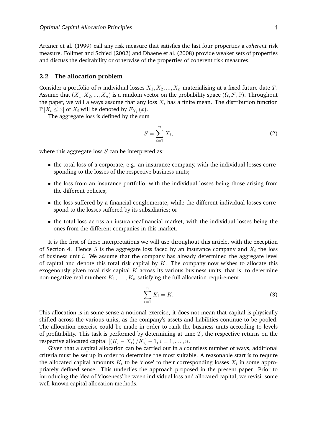Artzner et al. (1999) call any risk measure that satisfies the last four properties a *coherent* risk measure. Föllmer and Schied (2002) and Dhaene et al. (2008) provide weaker sets of properties and discuss the desirability or otherwise of the properties of coherent risk measures.

#### **2.2 The allocation problem**

Consider a portfolio of *n* individual losses  $X_1, X_2, ..., X_n$  materialising at a fixed future date *T*. Assume that  $(X_1, X_2, ..., X_n)$  is a random vector on the probability space  $(\Omega, \mathcal{F}, \mathbb{P})$ . Throughout the paper, we will always assume that any loss  $X_i$  has a finite mean. The distribution function  $\mathbb{P}[X_i \leq x]$  of  $X_i$  will be denoted by  $F_{X_i}(x)$ .

The aggregate loss is defined by the sum

$$
S = \sum_{i=1}^{n} X_i,
$$
 (2)

where this aggregate loss  $S$  can be interpreted as:

- the total loss of a corporate, e.g. an insurance company, with the individual losses corresponding to the losses of the respective business units;
- the loss from an insurance portfolio, with the individual losses being those arising from the different policies;
- the loss suffered by a financial conglomerate, while the different individual losses correspond to the losses suffered by its subsidiaries; or
- the total loss across an insurance/financial market, with the individual losses being the ones from the different companies in this market.

It is the first of these interpretations we will use throughout this article, with the exception of Section 4. Hence S is the aggregate loss faced by an insurance company and  $X_i$  the loss of business unit  $i$ . We assume that the company has already determined the aggregate level of capital and denote this total risk capital by  $K$ . The company now wishes to allocate this exogenously given total risk capital  $K$  across its various business units, that is, to determine non-negative real numbers  $K_1, \ldots, K_n$  satisfying the full allocation requirement:

$$
\sum_{i=1}^{n} K_i = K.
$$
\n(3)

This allocation is in some sense a notional exercise; it does not mean that capital is physically shifted across the various units, as the company's assets and liabilities continue to be pooled. The allocation exercise could be made in order to rank the business units according to levels of profitability. This task is performed by determining at time  $T$ , the respective returns on the respective allocated capital  $[(K_i - X_i) / K_i] - 1, i = 1, \ldots, n$ .

Given that a capital allocation can be carried out in a countless number of ways, additional criteria must be set up in order to determine the most suitable. A reasonable start is to require the allocated capital amounts  $K_i$  to be 'close' to their corresponding losses  $X_i$  in some appropriately defined sense. This underlies the approach proposed in the present paper. Prior to introducing the idea of 'closeness' between individual loss and allocated capital, we revisit some well-known capital allocation methods.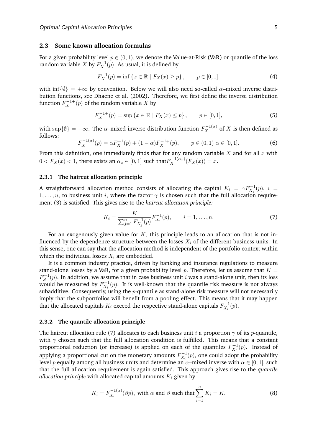#### **2.3 Some known allocation formulas**

For a given probability level  $p \in (0, 1)$ , we denote the Value-at-Risk (VaR) or quantile of the loss random variable  $X$  by  $F_X^{-1}(p)$ . As usual, it is defined by

$$
F_X^{-1}(p) = \inf \{ x \in \mathbb{R} \mid F_X(x) \ge p \}, \qquad p \in [0, 1]. \tag{4}
$$

with inf{ $\emptyset$ } = + $\infty$  by convention. Below we will also need so-called  $\alpha$ -mixed inverse distribution functions, see Dhaene et al. (2002). Therefore, we first define the inverse distribution function  $F_X^{-1+}(p)$  of the random variable X by

$$
F_X^{-1+}(p) = \sup\left\{x \in \mathbb{R} \mid F_X(x) \le p\right\}, \qquad p \in [0, 1],\tag{5}
$$

with sup $\{\emptyset\} = -\infty$ . The  $\alpha$ -mixed inverse distribution function  $F_X^{-1(\alpha)}$  of X is then defined as follows:

$$
F_X^{-1(\alpha)}(p) = \alpha F_X^{-1}(p) + (1 - \alpha)F_X^{-1+}(p), \qquad p \in (0, 1) \alpha \in [0, 1].
$$
 (6)

From this definition, one immediately finds that for any random variable  $X$  and for all  $x$  with  $0 < F_X(x) < 1$ , there exists an  $\alpha_x \in [0,1]$  such that  $F_X^{-1(\alpha_x)}(F_X(x)) = x$ .

#### **2.3.1 The haircut allocation principle**

A straightforward allocation method consists of allocating the capital  $K_i = \gamma F_{X_i}^{-1}(p)$ ,  $i =$  $1, \ldots, n$ , to business unit i, where the factor  $\gamma$  is chosen such that the full allocation requirement (3) is satisfied. This gives rise to the *haircut allocation principle:*

$$
K_i = \frac{K}{\sum_{j=1}^n F_{X_j}^{-1}(p)} F_{X_i}^{-1}(p), \qquad i = 1, \dots, n.
$$
 (7)

For an exogenously given value for  $K$ , this principle leads to an allocation that is not influenced by the dependence structure between the losses  $X_i$  of the different business units. In this sense, one can say that the allocation method is independent of the portfolio context within which the individual losses  $X_i$  are embedded.

It is a common industry practice, driven by banking and insurance regulations to measure stand-alone losses by a VaR, for a given probability level p. Therefore, let us assume that  $K =$  $F_S^{-1}(p)$ . In addition, we assume that in case business unit *i* was a stand-alone unit, then its loss would be measured by  $F_{X_i}^{-1}(p)$ . It is well-known that the quantile risk measure is not always subadditive. Consequently, using the  $p$ -quantile as stand-alone risk measure will not necessarily imply that the subportfolios will benefit from a pooling effect. This means that it may happen that the allocated capitals  $K_i$  exceed the respective stand-alone capitals  $F_{X_i}^{-1}(p).$ 

#### **2.3.2 The quantile allocation principle**

The haircut allocation rule (7) allocates to each business unit i a proportion  $\gamma$  of its p-quantile, with  $\gamma$  chosen such that the full allocation condition is fulfilled. This means that a constant proportional reduction (or increase) is applied on each of the quantiles  $F_{X_i}^{-1}(p)$ . Instead of applying a proportional cut on the monetary amounts  $F_{X_i}^{-1}(p)$ , one could adopt the probability level p equally among all business units and determine an  $\alpha$ –mixed inverse with  $\alpha \in [0, 1]$ , such that the full allocation requirement is again satisfied. This approach gives rise to the *quantile allocation principle* with allocated capital amounts  $K_i$  given by

$$
K_i = F_{X_i}^{-1(\alpha)}(\beta p), \text{ with } \alpha \text{ and } \beta \text{ such that } \sum_{i=1}^n K_i = K. \tag{8}
$$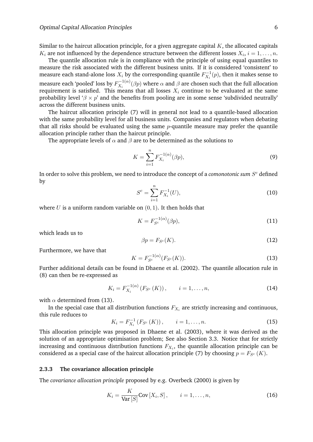Similar to the haircut allocation principle, for a given aggregate capital  $K$ , the allocated capitals  $K_i$  are not influenced by the dependence structure between the different losses  $X_i$ ,  $i=1,\ldots,n$ .

The quantile allocation rule is in compliance with the principle of using equal quantiles to measure the risk associated with the different business units. If it is considered 'consistent' to measure each stand-alone loss  $X_i$  by the corresponding quantile  $F_{X_i}^{-1}(p)$ , then it makes sense to measure each 'pooled' loss by  $F_{X_i}^{-1(\alpha)}$  $\chi_{X_i}^{(-1)}(\beta p)$  where  $\alpha$  and  $\beta$  are chosen such that the full allocation requirement is satisfied. This means that all losses  $X_i$  continue to be evaluated at the same probability level ' $\beta \times p'$  and the benefits from pooling are in some sense 'subdivided neutrally' across the different business units.

The haircut allocation principle (7) will in general not lead to a quantile-based allocation with the same probability level for all business units. Companies and regulators when debating that all risks should be evaluated using the same  $p$ -quantile measure may prefer the quantile allocation principle rather than the haircut principle.

The appropriate levels of  $\alpha$  and  $\beta$  are to be determined as the solutions to

$$
K = \sum_{i=1}^{n} F_{X_i}^{-1(\alpha)}(\beta p),
$$
\n(9)

In order to solve this problem, we need to introduce the concept of a  ${\it common}$   ${\it count}$   $S^c$  defined by

$$
S^c = \sum_{i=1}^n F_{X_i}^{-1}(U),\tag{10}
$$

where  $U$  is a uniform random variable on  $(0, 1)$ . It then holds that

$$
K = F_{S^c}^{-1(\alpha)}(\beta p),\tag{11}
$$

which leads us to

$$
\beta p = F_{S^c}(K). \tag{12}
$$

Furthermore, we have that

$$
K = F_{S^c}^{-1(\alpha)}(F_{S^c}(K)).
$$
\n(13)

Further additional details can be found in Dhaene et al. (2002). The quantile allocation rule in (8) can then be re-expressed as

$$
K_{i} = F_{X_{i}}^{-1(\alpha)}(F_{S^{c}}(K)), \qquad i = 1, ..., n,
$$
 (14)

with  $\alpha$  determined from (13).

In the special case that all distribution functions  $F_{X_i}$  are strictly increasing and continuous, this rule reduces to

$$
K_{i} = F_{X_{i}}^{-1} (F_{S^{c}} (K)), \qquad i = 1, ..., n.
$$
 (15)

This allocation principle was proposed in Dhaene et al. (2003), where it was derived as the solution of an appropriate optimisation problem; See also Section 3.3. Notice that for strictly increasing and continuous distribution functions  $F_{X_i}$ , the quantile allocation principle can be considered as a special case of the haircut allocation principle (7) by choosing  $p = F_{S^c}(K)$ .

#### **2.3.3 The covariance allocation principle**

The *covariance allocation principle* proposed by e.g. Overbeck (2000) is given by

$$
K_i = \frac{K}{\text{Var}[S]}\text{Cov}[X_i, S], \qquad i = 1, \dots, n,
$$
\n(16)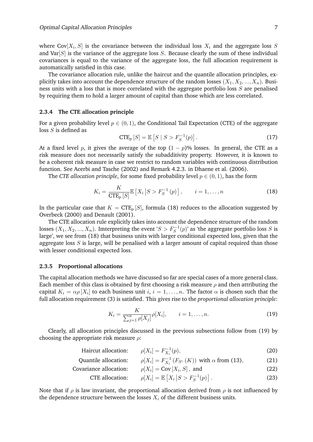where Cov $[X_i,S]$  is the covariance between the individual loss  $X_i$  and the aggregate loss  $S$ and Var $[S]$  is the variance of the aggregate loss  $S$ . Because clearly the sum of these individual covariances is equal to the variance of the aggregate loss, the full allocation requirement is automatically satisfied in this case.

The covariance allocation rule, unlike the haircut and the quantile allocation principles, explicitly takes into account the dependence structure of the random losses  $(X_1, X_2, ..., X_n)$ . Business units with a loss that is more correlated with the aggregate portfolio loss S are penalised by requiring them to hold a larger amount of capital than those which are less correlated.

#### **2.3.4 The CTE allocation principle**

For a given probability level  $p \in (0, 1)$ , the Conditional Tail Expectation (CTE) of the aggregate loss S is defined as

$$
CTE_p[S] = \mathbb{E}\left[S \mid S > F_S^{-1}(p)\right].\tag{17}
$$

At a fixed level p, it gives the average of the top  $(1 - p)$ % losses. In general, the CTE as a risk measure does not necessarily satisfy the subadditivity property. However, it is known to be a coherent risk measure in case we restrict to random variables with continuous distribution function. See Acerbi and Tasche (2002) and Remark 4.2.3. in Dhaene et al. (2006).

The *CTE allocation principle*, for some fixed probability level  $p \in (0, 1)$ , has the form

$$
K_i = \frac{K}{\text{CTE}_p[S]} \mathbb{E}\left[X_i \left| S > F_S^{-1}(p)\right.\right], \qquad i = 1, \dots, n \tag{18}
$$

In the particular case that  $K = CTE_p[S]$ , formula (18) reduces to the allocation suggested by Overbeck (2000) and Denault (2001).

The CTE allocation rule explicitly takes into account the dependence structure of the random losses  $(X_1, X_2, ..., X_n)$ . Imterpreting the event ' $S > F_S^{-1}(p)$ ' as 'the aggregate portfolio loss  $S$  is large', we see from (18) that business units with larger conditional expected loss, given that the aggregate loss  $S$  is large, will be penalised with a larger amount of capital required than those with lesser conditional expected loss.

#### **2.3.5 Proportional allocations**

The capital allocation methods we have discussed so far are special cases of a more general class. Each member of this class is obtained by first choosing a risk measure  $\rho$  and then attributing the capital  $K_i = \alpha \rho [X_i]$  to each business unit  $i, i = 1, \ldots, n$ . The factor  $\alpha$  is chosen such that the full allocation requirement (3) is satisfied. This gives rise to the *proportional allocation principle*:

$$
K_i = \frac{K}{\sum_{j=1}^n \rho[X_j]} \rho[X_i], \qquad i = 1, \dots, n.
$$
 (19)

Clearly, all allocation principles discussed in the previous subsections follow from (19) by choosing the appropriate risk measure  $\rho$ :

$$
\text{Haircuit allocation:} \qquad \rho[X_i] = F_{X_i}^{-1}(p), \tag{20}
$$

Quantile allocation: 
$$
\rho[X_i] = F_{X_i}^{-1}(F_{S^c}(K))
$$
 with  $\alpha$  from (13), (21)

Covariance allocation:  $] = Cov[X_i, S],$  and (22)

$$
\text{CTE allocation:} \qquad \rho[X_i] = \mathbb{E}\left[X_i \left| S > F_S^{-1}(p)\right.\right]. \tag{23}
$$

Note that if  $\rho$  is law invariant, the proportional allocation derived from  $\rho$  is not influenced by the dependence structure between the losses  $X_i$  of the different business units.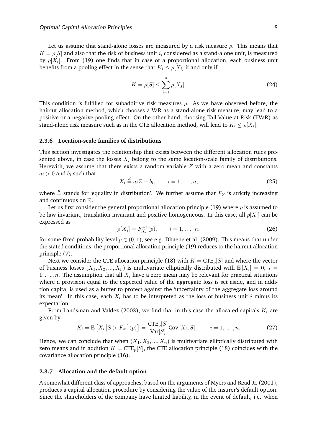Let us assume that stand-alone losses are measured by a risk measure  $\rho$ . This means that  $K = \rho[S]$  and also that the risk of business unit *i*, considered as a stand-alone unit, is measured by  $\rho[X_i]$ . From (19) one finds that in case of a proportional allocation, each business unit benefits from a pooling effect in the sense that  $K_i \leq \rho[X_i]$  if and only if

$$
K = \rho[S] \le \sum_{j=1}^{n} \rho[X_j].
$$
 (24)

This condition is fulfilled for subadditive risk measures  $\rho$ . As we have observed before, the haircut allocation method, which chooses a VaR as a stand-alone risk measure, may lead to a positive or a negative pooling effect. On the other hand, choosing Tail Value-at-Risk (TVaR) as stand-alone risk measure such as in the CTE allocation method, will lead to  $K_i \leq \rho[X_i].$ 

#### **2.3.6 Location-scale families of distributions**

This section investigates the relationship that exists between the different allocation rules presented above, in case the losses  $X_i$  belong to the same location-scale family of distributions. Herewith, we assume that there exists a random variable  $Z$  with a zero mean and constants  $a_i > 0$  and  $b_i$  such that

$$
X_i \stackrel{d}{=} a_i Z + b_i, \qquad i = 1, \dots, n,
$$
\n<sup>(25)</sup>

where  $\frac{d}{dx}$  stands for 'equality in distribution'. We further assume that  $F_Z$  is strictly increasing and continuous on R.

Let us first consider the general proportional allocation principle (19) where  $\rho$  is assumed to be law invariant, translation invariant and positive homogeneous. In this case, all  $\rho[X_i]$  can be expressed as

$$
\rho[X_i] = F_{X_i}^{-1}(p), \qquad i = 1, \dots, n,
$$
\n(26)

for some fixed probability level  $p \in (0, 1)$ , see e.g. Dhaene et al. (2009). This means that under the stated conditions, the proportional allocation principle (19) reduces to the haircut allocation principle (7).

Next we consider the CTE allocation principle (18) with  $K = CTE_p[S]$  and where the vector of business losses  $(X_1, X_2, ..., X_n)$  is multivariate elliptically distributed with  $\mathbb{E}[X_i] = 0, i =$  $1, \ldots, n$ . The assumption that all  $X_i$  have a zero mean may be relevant for practical situations where a provision equal to the expected value of the aggregate loss is set aside, and in addition capital is used as a buffer to protect against the 'uncertainty of the aggregate loss around its mean'. In this case, each  $X_i$  has to be interpreted as the loss of business unit i minus its expectation.

From Landsman and Valdez (2003), we find that in this case the allocated capitals  $K_i$  are given by

$$
K_i = \mathbb{E}\left[X_i \left| S > F_S^{-1}(p)\right.\right] = \frac{\text{CTE}_p[S]}{\text{Var}[S]}\text{Cov}[X_i, S], \qquad i = 1, \dots, n. \tag{27}
$$

Hence, we can conclude that when  $(X_1, X_2, ..., X_n)$  is multivariate elliptically distributed with zero means and in addition  $K = CTE_p[S]$ , the CTE allocation principle (18) coincides with the covariance allocation principle (16).

#### **2.3.7 Allocation and the default option**

A somewhat different class of approaches, based on the arguments of Myers and Read Jr. (2001), produces a capital allocation procedure by considering the value of the insurer's default option. Since the shareholders of the company have limited liability, in the event of default, i.e. when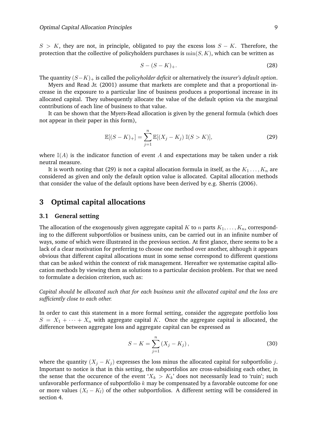$S > K$ , they are not, in principle, obligated to pay the excess loss  $S - K$ . Therefore, the protection that the collective of policyholders purchases is  $min(S, K)$ , which can be written as

$$
S - (S - K)_+.\tag{28}
$$

The quantity (S−K)<sup>+</sup> is called the *policyholder deficit* or alternatively the *insurer's default option*.

Myers and Read Jr. (2001) assume that markets are complete and that a proportional increase in the exposure to a particular line of business produces a proportional increase in its allocated capital. They subsequently allocate the value of the default option via the marginal contributions of each line of business to that value.

It can be shown that the Myers-Read allocation is given by the general formula (which does not appear in their paper in this form),

$$
\mathbb{E}[(S-K)_+] = \sum_{j=1}^{n} \mathbb{E}[(X_j - K_j) \mathbb{I}(S > K)],
$$
\n(29)

where  $\mathbb{I}(A)$  is the indicator function of event A and expectations may be taken under a risk neutral measure.

It is worth noting that (29) is not a capital allocation formula in itself, as the  $K_1 \ldots, K_n$  are considered as given and only the default option value is allocated. Capital allocation methods that consider the value of the default options have been derived by e.g. Sherris (2006).

## **3 Optimal capital allocations**

#### **3.1 General setting**

The allocation of the exogenously given aggregate capital K to n parts  $K_1, \ldots, K_n$ , corresponding to the different subportfolios or business units, can be carried out in an infinite number of ways, some of which were illustrated in the previous section. At first glance, there seems to be a lack of a clear motivation for preferring to choose one method over another, although it appears obvious that different capital allocations must in some sense correspond to different questions that can be asked within the context of risk management. Hereafter we systematise capital allocation methods by viewing them as solutions to a particular decision problem. For that we need to formulate a decision criterion, such as:

*Capital should be allocated such that for each business unit the allocated capital and the loss are sufficiently close to each other.*

In order to cast this statement in a more formal setting, consider the aggregate portfolio loss  $S = X_1 + \cdots + X_n$  with aggregate capital K. Once the aggregate capital is allocated, the difference between aggregate loss and aggregate capital can be expressed as

$$
S - K = \sum_{j=1}^{n} (X_j - K_j),
$$
\n(30)

where the quantity  $(X_j - K_j)$  expresses the loss minus the allocated capital for subportfolio j. Important to notice is that in this setting, the subportfolios are cross-subsidising each other, in the sense that the occurence of the event ' $X_k > K_k$ ' does not necessarily lead to 'ruin'; such unfavorable performance of subportfolio  $k$  may be compensated by a favorable outcome for one or more values  $(X_l - K_l)$  of the other subportfolios. A different setting will be considered in section 4.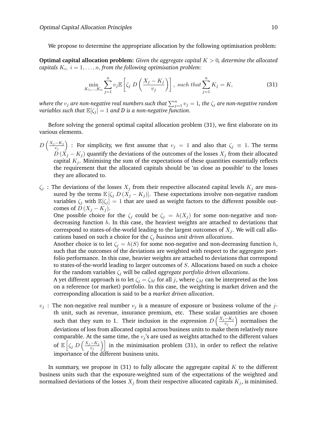We propose to determine the appropriate allocation by the following optimisation problem:

**Optimal capital allocation problem:** *Given the aggregate capital* K > 0*, determine the allocated*  $capitals\; K_i,\; i=1,\ldots,n,$  from the following optimisation problem:

$$
\min_{K_1,\dots,K_n} \sum_{j=1}^n v_j \mathbb{E}\left[\zeta_j \ D\left(\frac{X_j - K_j}{v_j}\right)\right], \ such \ that \sum_{j=1}^n K_j = K,\tag{31}
$$

where the  $v_j$  are non-negative real numbers such that  $\sum_{j=1}^n v_j = 1$ , the  $\zeta_j$  are non-negative random *variables such that*  $\mathbb{E}[\zeta_j] = 1$  *and D is a non-negative function.* 

Before solving the general optimal capital allocation problem (31), we first elaborate on its various elements.

- $D\left(\frac{X_j-K_j}{v}\right)$  $\left(\frac{-K_j}{v_j}\right)$  : For simplicity, we first assume that  $v_j\ =\ 1$  and also that  $\zeta_j\ \equiv\ 1.$  The terms  $D(X_i - K_j)$  quantify the deviations of the outcomes of the losses  $X_i$  from their allocated capital  $K_j$ . Minimising the sum of the expectations of these quantities essentially reflects the requirement that the allocated capitals should be 'as close as possible' to the losses they are allocated to.
- $\zeta_i$ : The deviations of the losses  $X_i$  from their respective allocated capital levels  $K_i$  are measured by the terms  $\mathbb{E}[\zeta_j D(X_j - K_j)]$ . These expectations involve non-negative random variables  $\zeta_j$  with  $\mathbb{E}[\zeta_j] = 1$  that are used as weight factors to the different possible outcomes of  $D(X_i - K_i)$ .

One possible choice for the  $\zeta_i$  could be  $\zeta_i = h(X_i)$  for some non-negative and nondecreasing function  $h$ . In this case, the heaviest weights are attached to deviations that correspond to states-of-the-world leading to the largest outcomes of  $X_j$ . We will call allocations based on such a choice for the  $\zeta_i$  *business unit driven allocations.* 

Another choice is to let  $\zeta_i = h(S)$  for some non-negative and non-decreasing function h, such that the outcomes of the deviations are weighted with respect to the aggregate portfolio performance. In this case, heavier weights are attached to deviations that correspond to states-of-the-world leading to larger outcomes of S. Allocations based on such a choice for the random variables  $\zeta_i$  will be called *aggregate portfolio driven allocations*.

A yet different approach is to let  $\zeta_j = \zeta_M$  for all j, where  $\zeta_M$  can be interpreted as the loss on a reference (or market) portfolio. In this case, the weighting is market driven and the corresponding allocation is said to be a *market driven allocation*.

 $v_i$ : The non-negative real number  $v_i$  is a measure of exposure or business volume of the jth unit, such as revenue, insurance premium, etc. These scalar quantities are chosen such that they sum to 1. Their inclusion in the expression  $D\left(\frac{X_j-K_j}{n}\right)$  $\left(\frac{e^{-K_j}}{v_j}\right)$  normalises the deviations of loss from allocated capital across business units to make them relatively more comparable. At the same time, the  $v_j$ 's are used as weights attached to the different values of  $\mathbb{E} \left[ \zeta_j D \left( \frac{X_j - K_j}{v_i} \right) \right]$  $\left\{\frac{-K_j}{v_j}\right\}\Big]$  in the minimisation problem (31), in order to reflect the relative importance of the different business units.

In summary, we propose in  $(31)$  to fully allocate the aggregate capital K to the different business units such that the exposure-weighted sum of the expectations of the weighted and normalised deviations of the losses  $X_j$  from their respective allocated capitals  $K_j$ , is minimised.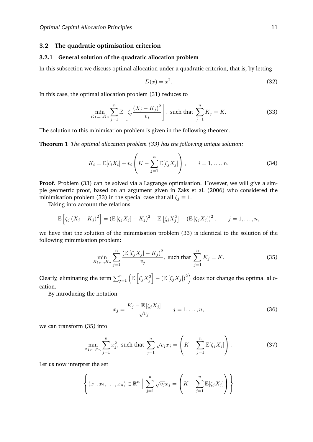#### **3.2 The quadratic optimisation criterion**

#### **3.2.1 General solution of the quadratic allocation problem**

In this subsection we discuss optimal allocation under a quadratic criterion, that is, by letting

$$
D(x) = x^2. \tag{32}
$$

In this case, the optimal allocation problem (31) reduces to

$$
\min_{K_1, ..., K_n} \sum_{j=1}^n \mathbb{E}\left[\zeta_j \frac{(X_j - K_j)^2}{v_j}\right], \text{ such that } \sum_{j=1}^n K_j = K. \tag{33}
$$

The solution to this minimisation problem is given in the following theorem.

**Theorem 1** *The optimal allocation problem (33) has the following unique solution:*

$$
K_i = \mathbb{E}[\zeta_i X_i] + v_i \left( K - \sum_{j=1}^n \mathbb{E}[\zeta_j X_j] \right), \qquad i = 1, \dots, n.
$$
 (34)

**Proof.** Problem (33) can be solved via a Lagrange optimisation. However, we will give a simple geometric proof, based on an argument given in Zaks et al. (2006) who considered the minimisation problem (33) in the special case that all  $\zeta_i \equiv 1$ .

Taking into account the relations

$$
\mathbb{E}\left[\zeta_j\left(X_j-K_j\right)^2\right]=(\mathbb{E}\left[\zeta_jX_j\right]-K_j)^2+\mathbb{E}\left[\zeta_jX_j^2\right]-\left(\mathbb{E}\left[\zeta_jX_j\right]\right)^2,\qquad j=1,\ldots,n,
$$

we have that the solution of the minimisation problem (33) is identical to the solution of the following minimisation problem:

$$
\min_{K_1, ..., K_n} \sum_{j=1}^n \frac{\left(\mathbb{E}\left[\zeta_j X_j\right] - K_j\right)^2}{v_j}, \text{ such that } \sum_{j=1}^n K_j = K. \tag{35}
$$

Clearly, eliminating the term  $\sum_{j=1}^n \left(\mathbb{E}\left[\zeta_jX^2_j\right]-(\mathbb{E}\left[\zeta_jX_j\right])^2\right)$  does not change the optimal allocation.

By introducing the notation

$$
x_j = \frac{K_j - \mathbb{E}\left[\zeta_j X_j\right]}{\sqrt{v_j}} \qquad j = 1, \dots, n,\tag{36}
$$

we can transform (35) into

$$
\min_{x_1, ..., x_n} \sum_{j=1}^n x_j^2, \text{ such that } \sum_{j=1}^n \sqrt{v_j} x_j = \left( K - \sum_{j=1}^n \mathbb{E}[\zeta_j X_j] \right). \tag{37}
$$

Let us now interpret the set

$$
\left\{ (x_1, x_2, \dots, x_n) \in \mathbb{R}^n \mid \sum_{j=1}^n \sqrt{v_j} x_j = \left( K - \sum_{j=1}^n \mathbb{E}[\zeta_j X_j] \right) \right\}
$$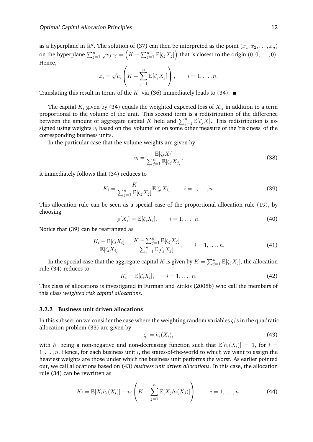as a hyperplane in  $\mathbb{R}^n$ . The solution of (37) can then be interpreted as the point  $(x_1, x_2, \ldots, x_n)$ on the hyperplane  $\sum_{j=1}^n\sqrt{v_j}x_j=\left(K-\sum_{j=1}^n\mathbb{E}[\zeta_jX_j]\right)$  that is closest to the origin  $(0,0,\ldots,0).$ Hence,

$$
x_i = \sqrt{v_i} \left( K - \sum_{j=1}^n \mathbb{E}[\zeta_j X_j] \right), \qquad i = 1, \dots, n.
$$

Translating this result in terms of the  $K_i$  via (36) immediately leads to (34).  $\blacksquare$ 

The capital  $K_i$  given by (34) equals the weighted expected loss of  $X_i$ , in addition to a term proportional to the volume of the unit. This second term is a redistribution of the difference between the amount of aggregate capital  $K$  held and  $\sum_{j=1}^n \mathbb{E}[\zeta_j X]$ . This redistribution is assigned using weights  $v_i$  based on the 'volume' or on some other measure of the 'riskiness' of the corresponding business units.

In the particular case that the volume weights are given by

$$
v_i = \frac{\mathbb{E}[\zeta_i X_i]}{\sum_{j=1}^n \mathbb{E}[\zeta_j X_j]},
$$
\n(38)

it immediately follows that (34) reduces to

$$
K_i = \frac{K}{\sum_{j=1}^n \mathbb{E}[\zeta_j X_j]} \mathbb{E}[\zeta_i X_i], \qquad i = 1, \dots, n.
$$
 (39)

This allocation rule can be seen as a special case of the proportional allocation rule (19), by choosing

$$
\rho[X_i] = \mathbb{E}[\zeta_i X_i], \qquad i = 1, \dots, n. \tag{40}
$$

Notice that (39) can be rearranged as

$$
\frac{K_i - \mathbb{E}[\zeta_i X_i]}{\mathbb{E}[\zeta_i X_i]} = \frac{K - \sum_{j=1}^n \mathbb{E}[\zeta_j X_j]}{\sum_{j=1}^n \mathbb{E}[\zeta_j X_j]}, \qquad i = 1, \dots, n.
$$
\n(41)

In the special case that the aggregate capital  $K$  is given by  $K = \sum_{j=1}^n \mathbb{E}[\zeta_j X_j]$ , the allocation rule (34) reduces to

$$
K_i = \mathbb{E}[\zeta_i X_i], \qquad i = 1, \dots, n. \tag{42}
$$

This class of allocations is investigated in Furman and Zitikis (2008b) who call the members of this class *weighted risk capital allocations*.

#### **3.2.2 Business unit driven allocations**

In this subsection we consider the case where the weighting random variables  $\zeta_i$ 's in the quadratic allocation problem (33) are given by

$$
\zeta_i = h_i(X_i),\tag{43}
$$

with  $h_i$  being a non-negative and non-decreasing function such that  $\mathbb{E}[h_i(X_i)] = 1$ , for  $i =$  $1, \ldots, n$ . Hence, for each business unit i, the states-of-the-world to which we want to assign the heaviest weights are those under which the business unit performs the worst. As earlier pointed out, we call allocations based on (43) *business unit driven allocations*. In this case, the allocation rule (34) can be rewritten as

$$
K_i = \mathbb{E}[X_i h_i(X_i)] + v_i \left( K - \sum_{j=1}^n \mathbb{E}[X_j h_i(X_j)] \right), \qquad i = 1, ..., n.
$$
 (44)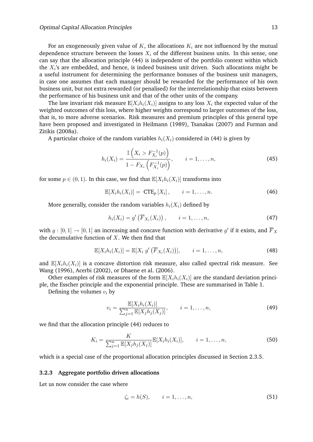For an exogeneously given value of K, the allocations  $K_i$  are not influenced by the mutual dependence structure between the losses  $X_i$  of the different business units. In this sense, one can say that the allocation principle (44) is independent of the portfolio context within which the  $X_i$ 's are embedded, and hence, is indeed business unit driven. Such allocations might be a useful instrument for determining the performance bonuses of the business unit managers, in case one assumes that each manager should be rewarded for the performance of his own business unit, but not extra rewarded (or penalised) for the interrelationship that exists between the performance of his business unit and that of the other units of the company.

The law invariant risk measure  $E[X_i h_i(X_i)]$  assigns to any loss  $X_i$  the expected value of the weighted outcomes of this loss, where higher weights correspond to larger outcomes of the loss, that is, to more adverse scenarios. Risk measures and premium principles of this general type have been proposed and investigated in Heilmann (1989), Tsanakas (2007) and Furman and Zitikis (2008a).

A particular choice of the random variables  $h_i(X_i)$  considered in (44) is given by

$$
h_i(X_i) = \frac{\mathbb{I}\left(X_i > F_{X_i}^{-1}(p)\right)}{1 - F_{X_i}\left(F_{X_i}^{-1}(p)\right)}, \qquad i = 1, \dots, n,
$$
\n(45)

for some  $p \in (0, 1)$ . In this case, we find that  $\mathbb{E}[X_i h_i(X_i)]$  transforms into

$$
\mathbb{E}[X_i h_i(X_i)] = \text{CTE}_p [X_i], \qquad i = 1, \dots, n. \tag{46}
$$

More generally, consider the random variables  $h_i(X_i)$  defined by

$$
h_i(X_i) = g'\left(\overline{F}_{X_i}(X_i)\right), \qquad i = 1, \ldots, n,
$$
\n
$$
(47)
$$

with  $g:[0,1]\to [0,1]$  an increasing and concave function with derivative  $g'$  if it exists, and  $\overline{F}_X$ the decumulative function of  $X$ . We then find that

$$
\mathbb{E}[X_i h_i(X_i)] = \mathbb{E}[X_i g'(\overline{F}_{X_i}(X_i))], \qquad i = 1, \ldots, n,
$$
\n(48)

and  $\mathbb{E}[X_i h_i(X_i)]$  is a concave distortion risk measure, also called spectral risk measure. See Wang (1996), Acerbi (2002), or Dhaene et al. (2006).

Other examples of risk measures of the form  $\mathbb{E}[X_i h_i(X_i)]$  are the standard deviation principle, the Esscher principle and the exponential principle. These are summarised in Table 1.

Defining the volumes  $v_i$  by

$$
v_i = \frac{\mathbb{E}[X_i h_i(X_i)]}{\sum_{j=1}^n \mathbb{E}[X_j h_j(X_j)]}, \qquad i = 1, ..., n,
$$
 (49)

we find that the allocation principle (44) reduces to

$$
K_{i} = \frac{K}{\sum_{j=1}^{n} \mathbb{E}[X_{j}h_{j}(X_{j})]} \mathbb{E}[X_{i}h_{i}(X_{i})], \qquad i = 1, ..., n,
$$
\n(50)

which is a special case of the proportional allocation principles discussed in Section 2.3.5.

#### **3.2.3 Aggregate portfolio driven allocations**

Let us now consider the case where

$$
\zeta_i = h(S), \qquad i = 1, \dots, n,\tag{51}
$$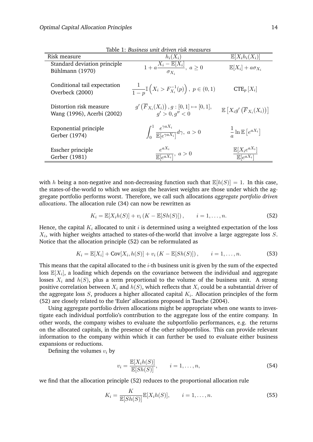| Table 1: Business unit driven risk measures           |                                                                                    |                                                                     |  |
|-------------------------------------------------------|------------------------------------------------------------------------------------|---------------------------------------------------------------------|--|
| Risk measure                                          | $h_i(X_i)$                                                                         | $\mathbb{E}[X_i h_i(X_i)]$                                          |  |
| Standard deviation principle<br>Bühlmann (1970)       | $1 + a \frac{X_i - \overline{\mathbb{E}[X_i]} }{\sigma_{X_i}}, a \ge 0$            | $\mathbb{E}[X_i] + a\sigma_{X_i}$                                   |  |
| Conditional tail expectation<br>Overbeck (2000)       | $\frac{1}{1-p} \mathbb{I}\left(X_i > F_{X_i}^{-1}(p)\right), p \in (0,1)$          | $CTE_p[X_i]$                                                        |  |
| Distortion risk measure<br>Wang (1996), Acerbi (2002) | $g'\left(\overline{F}_{X_i}(X_i)\right), g:[0,1]\mapsto [0,1],$<br>q' > 0, q'' < 0 | $\mathbb{E}\left[X_i g'\left(\overline{F}_{X_i}(X_i)\right)\right]$ |  |
| Exponential principle<br>Gerber (1974)                | $\int_0^1 \frac{e^{\gamma a X_i}}{\mathbb{E}[e^{\gamma a X_i}]} d\gamma, \ a > 0$  | $\frac{1}{a} \ln \mathbb{E} \left[ e^{a X_i} \right]$               |  |
| Esscher principle<br>Gerber (1981)                    | $\frac{e^{aX_i}}{\mathbb{E}[e^{aX_i}]}, a>0$                                       | $\mathbb{E}[X_i e^{a X_i}]$<br>$\mathbb{E}[e^{aX_i}]$               |  |

with h being a non-negative and non-decreasing function such that  $\mathbb{E}[h(S)] = 1$ . In this case, the states-of-the-world to which we assign the heaviest weights are those under which the aggregate portfolio performs worst. Therefore, we call such allocations *aggregate portfolio driven allocations*. The allocation rule (34) can now be rewritten as

$$
K_i = \mathbb{E}[X_i h(S)] + v_i (K - \mathbb{E}[Sh(S)]), \qquad i = 1, ..., n.
$$
 (52)

Hence, the capital  $K_i$  allocated to unit i is determined using a weighted expectation of the loss  $X_i$ , with higher weights attached to states-of-the-world that involve a large aggregate loss  $S.$ Notice that the allocation principle (52) can be reformulated as

$$
K_i = \mathbb{E}[X_i] + \text{Cov}[X_i, h(S)] + v_i (K - \mathbb{E}[Sh(S)]), \qquad i = 1, ..., n.
$$
 (53)

This means that the capital allocated to the  $i$ -th business unit is given by the sum of the expected loss  $\mathbb{E}[X_i]$ , a loading which depends on the covariance between the individual and aggregate losses  $X_i$  and  $h(S)$ , plus a term proportional to the volume of the business unit. A strong positive correlation between  $X_i$  and  $h(S)$ , which reflects that  $X_i$  could be a substantial driver of the aggregate loss  $S,$  produces a higher allocated capital  $K_{i}.$  Allocation principles of the form (52) are closely related to the 'Euler' allocations proposed in Tasche (2004).

Using aggregate portfolio driven allocations might be appropriate when one wants to investigate each individual portfolio's contribution to the aggregate loss of the entire company. In other words, the company wishes to evaluate the subportfolio performances, e.g. the returns on the allocated capitals, in the presence of the other subportfolios. This can provide relevant information to the company within which it can further be used to evaluate either business expansions or reductions.

Defining the volumes  $v_i$  by

$$
v_i = \frac{\mathbb{E}[X_i h(S)]}{\mathbb{E}[Sh(S)]}, \qquad i = 1, \dots, n,
$$
\n(54)

we find that the allocation principle (52) reduces to the proportional allocation rule

$$
K_i = \frac{K}{\mathbb{E}[Sh(S)]} \mathbb{E}[X_i h(S)], \qquad i = 1, \dots, n.
$$
 (55)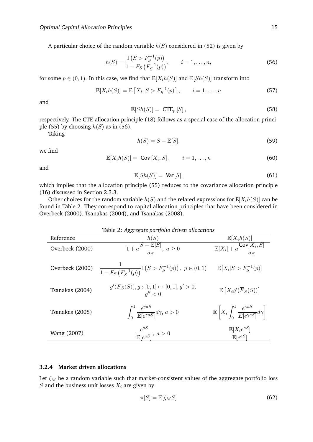A particular choice of the random variable  $h(S)$  considered in (52) is given by

$$
h(S) = \frac{\mathbb{I}\left(S > F_S^{-1}(p)\right)}{1 - F_S\left(F_S^{-1}(p)\right)}, \qquad i = 1, \dots, n,
$$
\n(56)

for some  $p \in (0, 1)$ . In this case, we find that  $\mathbb{E}[X_i h(S)]$  and  $\mathbb{E}[Sh(S)]$  transform into

$$
\mathbb{E}[X_i h(S)] = \mathbb{E}\left[X_i \left| S > F_S^{-1}(p)\right.\right], \qquad i = 1, \dots, n \tag{57}
$$

and

$$
\mathbb{E}[Sh(S)] = CTE_p[S],\tag{58}
$$

respectively. The CTE allocation principle (18) follows as a special case of the allocation principle (55) by choosing  $h(S)$  as in (56).

Taking

$$
h(S) = S - \mathbb{E}[S],\tag{59}
$$

we find

$$
\mathbb{E}[X_i h(S)] = \text{Cov}[X_i, S], \qquad i = 1, \dots, n \tag{60}
$$

and

$$
\mathbb{E}[Sh(S)] = \text{Var}[S],\tag{61}
$$

which implies that the allocation principle (55) reduces to the covariance allocation principle (16) discussed in Section 2.3.3.

Other choices for the random variable  $h(S)$  and the related expressions for  $E[X_i h(S)]$  can be found in Table 2. They correspond to capital allocation principles that have been considered in Overbeck (2000), Tsanakas (2004), and Tsanakas (2008).

| Table 2: Aggregate portfolio driven allocations |                                                                                                                                     |                                                                                  |
|-------------------------------------------------|-------------------------------------------------------------------------------------------------------------------------------------|----------------------------------------------------------------------------------|
| Reference                                       | h(S)                                                                                                                                | $\mathbb{E}[X_i h(S)]$                                                           |
| Overbeck (2000)                                 | $\overline{1+a\frac{S-\mathbb{E}[S]}{\sigma_S},\; a\geq 0}$                                                                         | $\mathbb{E}[X_i] + a \frac{\text{Cov}[X_i, S]}{\tau}$                            |
| Overbeck (2000)                                 | $\frac{1}{1 - F_S(F_S^{-1}(p))} \mathbb{I} \left( S > F_S^{-1}(p) \right), \ p \in (0, 1) \qquad \mathbb{E}[X_i   S > F_S^{-1}(p)]$ |                                                                                  |
| Tsanakas (2004)                                 | $g'(F_S(S)), g:[0,1]\mapsto [0,1], g'>0,$<br>q'' < 0                                                                                | $\mathbb{E}\left[X_ig'(\overline{F}_S(S))\right]$                                |
| Tsanakas (2008)                                 | $\int_0^1 \frac{e^{\gamma a s}}{\mathbb{E}[e^{\gamma a s}]}\,d\gamma,\,a>0$                                                         | $\mathbb{E}\left[X_i\int_0^1\frac{e^{\gamma u}}{E[e^{\gamma aS}]}d\gamma\right]$ |
| Wang (2007)                                     | $\frac{e^{aS}}{\mathbb{E}[e^{aS}]}, a > 0$                                                                                          | $\frac{\mathbb{E}[X_i e^{aS}]}{\mathbb{E}[e^{aS}]}$                              |

#### **3.2.4 Market driven allocations**

Let  $\zeta_M$  be a random variable such that market-consistent values of the aggregate portfolio loss  $S$  and the business unit losses  $X_i$  are given by

$$
\pi[S] = \mathbb{E}[\zeta_M S] \tag{62}
$$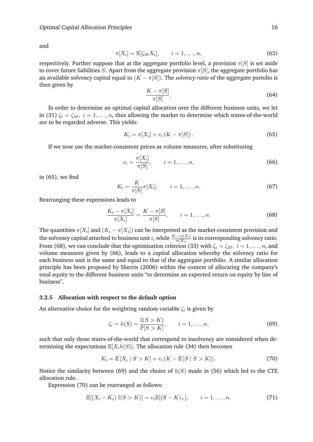and

$$
\pi[X_i] = \mathbb{E}[\zeta_M X_i], \qquad i = 1, \dots, n,
$$
\n(63)

respectively. Further suppose that at the aggregate portfolio level, a provision  $\pi[S]$  is set aside to cover future liabilities S. Apart from the aggregate provision  $\pi[S]$ , the aggregate portfolio has an available solvency capital equal to  $(K - \pi[S])$ . The *solvency ratio* of the aggregate portolio is then given by

$$
\frac{K - \pi[S]}{\pi[S]}.\tag{64}
$$

In order to determine an optimal capital allocation over the different business units, we let in (31)  $\zeta_i = \zeta_M$ ,  $i = 1, \ldots, n$ , thus allowing the market to determine which states-of-the-world are to be regarded adverse. This yields:

$$
K_i = \pi[X_i] + v_i (K - \pi[S]).
$$
\n(65)

If we now use the market-consistent prices as volume measures, after substituting

$$
v_i = \frac{\pi[X_i]}{\pi[S]}, \qquad i = 1, \dots, n,
$$
\n(66)

in (65), we find

$$
K_i = \frac{K}{\pi[S]} \pi[X_i], \qquad i = 1, \dots, n.
$$
 (67)

Rearranging these expressions leads to

$$
\frac{K_i - \pi[X_i]}{\pi[X_i]} = \frac{K - \pi[S]}{\pi[S]}, \qquad i = 1, \dots, n.
$$
 (68)

The quantities  $\pi[X_i]$  and  $(K_i - \pi[X_i])$  can be interpreted as the market-consistent provision and the solvency capital attached to business unit  $i,$  while  $\frac{K_i-\pi[X_i]}{\pi[X_i]}$  is its corresponding solvency ratio. From (68), we can conclude that the optimisation criterion (33) with  $\zeta_i = \zeta_M$ ,  $i = 1, \ldots, n$ , and volume measures given by (66), leads to a capital allocation whereby the solvency ratio for each business unit is the same and equal to that of the aggregate portfolio. A similar allocation principle has been proposed by Sherris (2006) within the context of allocating the company's total equity to the different business units "to determine an expected return on equity by line of business".

#### **3.2.5 Allocation with respect to the default option**

An alternative choice for the weighting random variable  $\zeta_i$  is given by

$$
\zeta_i = h(S) = \frac{\mathbb{I}(S > K)}{\mathbb{P}[S > K]}, \qquad i = 1, ..., n,
$$
\n(69)

such that only those states-of-the-world that correspond to insolvency are considered when determining the expectations  $\mathbb{E}[X_i h(S)]$ . The allocation rule (34) then becomes

$$
K_i = \mathbb{E}[X_i \mid S > K] + v_i (K - \mathbb{E}[S \mid S > K]). \tag{70}
$$

Notice the similarity between (69) and the choice of  $h(S)$  made in (56) which led to the CTE allocation rule.

Expression (70) can be rearranged as follows:

$$
\mathbb{E}[(X_i - K_i) \mathbb{I}(S > K)] = v_i \mathbb{E}[(S - K)_+], \qquad i = 1, ..., n.
$$
 (71)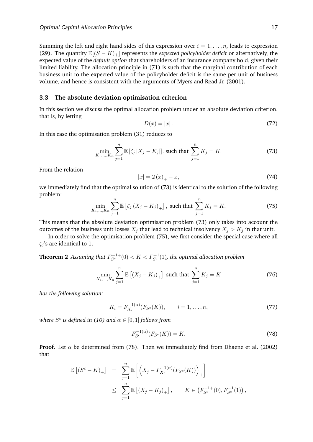Summing the left and right hand sides of this expression over  $i = 1, \ldots, n$ , leads to expression (29). The quantity  $\mathbb{E}[(S - K)_+]$  represents the *expected policyholder deficit* or alternatively, the expected value of the *default option* that shareholders of an insurance company hold, given their limited liability. The allocation principle in (71) is such that the marginal contribution of each business unit to the expected value of the policyholder deficit is the same per unit of business volume, and hence is consistent with the arguments of Myers and Read Jr. (2001).

#### **3.3 The absolute deviation optimisation criterion**

In this section we discuss the optimal allocation problem under an absolute deviation criterion, that is, by letting

$$
D(x) = |x| \tag{72}
$$

In this case the optimisation problem (31) reduces to

$$
\min_{K_1, ..., K_n} \sum_{j=1}^n \mathbb{E} \left[ \zeta_j \, |X_j - K_j| \right], \text{such that } \sum_{j=1}^n K_j = K. \tag{73}
$$

From the relation

$$
|x| = 2(x)_{+} - x,\t(74)
$$

we immediately find that the optimal solution of (73) is identical to the solution of the following problem:

$$
\min_{K_1,...,K_n} \sum_{j=1}^n \mathbb{E} \left[ \zeta_j \left( X_j - K_j \right)_+ \right], \text{ such that } \sum_{j=1}^n K_j = K. \tag{75}
$$

This means that the absolute deviation optimisation problem (73) only takes into account the outcomes of the business unit losses  $X_j$  that lead to technical insolvency  $X_j > K_j$  in that unit.

In order to solve the optimisation problem (75), we first consider the special case where all  $\zeta_i$ 's are identical to 1.

**Theorem 2** Assuming that  $F_{S^c}^{-1+}(0) < K < F_{S^c}^{-1}(1)$ , the optimal allocation problem

$$
\min_{K_1, ..., K_n} \sum_{j=1}^n \mathbb{E} \left[ (X_j - K_j)_+ \right] \text{ such that } \sum_{j=1}^n K_j = K \tag{76}
$$

*has the following solution:*

$$
K_i = F_{X_i}^{-1(\alpha)}(F_{S^c}(K)), \qquad i = 1, \dots, n,
$$
\n(77)

where  $S^c$  is defined in (10) and  $\alpha \in [0,1]$  follows from

$$
F_{S^c}^{-1(\alpha)}(F_{S^c}(K)) = K.
$$
 (78)

**Proof.** Let  $\alpha$  be determined from (78). Then we immediately find from Dhaene et al. (2002) that

$$
\mathbb{E}\left[(S^{c} - K)_{+}\right] = \sum_{j=1}^{n} \mathbb{E}\left[\left(X_{j} - F_{X_{i}}^{-1(\alpha)}(F_{S^{c}}(K))\right)_{+}\right] \leq \sum_{j=1}^{n} \mathbb{E}\left[(X_{j} - K_{j})_{+}\right], \qquad K \in \left(F_{S^{c}}^{-1+}(0), F_{S^{c}}^{-1}(1)\right),
$$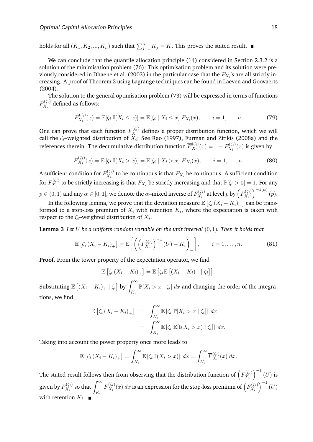holds for all  $(K_1, K_2, ..., K_n)$  such that  $\sum_{j=1}^n K_j = K$ . This proves the stated result.

We can conclude that the quantile allocation principle (14) considered in Section 2.3.2 is a solution of the minimisation problem (76). This optimisation problem and its solution were previously considered in Dhaene et al. (2003) in the particular case that the  $F_{X_i}$ 's are all strictly increasing. A proof of Theorem 2 using Lagrange techniques can be found in Laeven and Goovaerts (2004).

The solution to the general optimisation problem (73) will be expressed in terms of functions  $F_{X_i}^{(\zeta_i)}$  $X_i^{(s_i)}$  defined as follows:

$$
F_{X_i}^{(\zeta_i)}(x) = \mathbb{E}[\zeta_i \, \mathbb{I}(X_i \le x)] = \mathbb{E}[\zeta_i \, | \, X_i \le x] \, F_{X_i}(x), \qquad i = 1, \dots, n. \tag{79}
$$

One can prove that each function  $F_{X_i}^{(\zeta_i)}$  $X_i^{(S_i)}$  defines a proper distribution function, which we will call the  $\zeta_i$ –weighted distribution of  $X_i;$  See Rao (1997), Furman and Zitikis (2008a) and the references therein. The decumulative distribution function  $\overline{F}_{X_i}^{(\zeta_i)}$  $X_i^{(\zeta_i)}(x) = 1 - F_{X_i}^{(\zeta_i)}$  $X_i^{(i)}(x)$  is given by

$$
\overline{F}_{X_i}^{(\zeta_i)}(x) = \mathbb{E}\left[\zeta_i \mathbb{I}(X_i > x)\right] = \mathbb{E}[\zeta_i \mid X_i > x] \overline{F}_{X_i}(x), \qquad i = 1, \dots, n. \tag{80}
$$

A sufficient condition for  $F_{X_i}^{(\zeta_i)}$  $X_i^{(Si)}$  to be continuous is that  $F_{X_i}$  be continuous. A sufficient condition for  $F^{(\zeta_i)}_{X_i}$  $X_i^{(\zeta_i)}$  to be strictly increasing is that  $F_{X_i}$  be strictly increasing and that  $\mathbb{P}[\zeta_i > 0] = 1$ . For any  $p\in(0,1)$  and any  $\alpha\in[0,1],$  we denote the  $\alpha$ –mixed inverse of  $F_{X_i}^{(\zeta_i)}$  $\chi_{X_i}^{(\zeta_i)}$  at level  $p$  by  $\left(F_{X_i}^{(\zeta_i)}\right)$  $\left(\begin{smallmatrix} \zeta_i \ X_i \end{smallmatrix}\right)^{-1(\alpha)}(p).$ 

In the following lemma, we prove that the deviation measure  $\mathbb{E}\left[\zeta_i\left(X_i-K_i\right)_+\right]$  can be transformed to a stop-loss premium of  $X_i$  with retention  $K_i,$  where the expectation is taken with respect to the  $\zeta_i$ –weighted distribution of  $X_i.$ 

**Lemma 3** *Let* U *be a uniform random variable on the unit interval* (0, 1)*. Then it holds that*

$$
\mathbb{E}\left[\zeta_i\left(X_i-K_i\right)_+\right]=\mathbb{E}\left[\left(\left(F_{X_i}^{(\zeta_i)}\right)^{-1}\left(U\right)-K_i\right)_+\right],\qquad i=1,\ldots,n.
$$
\n(81)

**Proof.** From the tower property of the expectation operator, we find

$$
\mathbb{E}\left[\zeta_i\left(X_i-K_i\right)_+\right]=\mathbb{E}\left[\zeta_i\mathbb{E}\left[\left(X_i-K_i\right)_+\mid\zeta_i\right]\right].
$$

Substituting  $\mathbb{E} \left[ \left( X_i - K_i \right)_+ \mid \zeta_i \right]$  by  $\int_{-K}^{\infty}$  $\int_{K_i} \mathbb{P}[X_i > x \mid \zeta_i] dx$  and changing the order of the integrations, we find

$$
\mathbb{E}\left[\zeta_i\left(X_i - K_i\right)_+\right] = \int_{K_i}^{\infty} \mathbb{E}\left[\zeta_i \ \mathbb{P}[X_i > x \mid \zeta_i]\right] \, dx
$$
\n
$$
= \int_{K_i}^{\infty} \mathbb{E}\left[\zeta_i \ \mathbb{E}[\mathbb{I}(X_i > x) \mid \zeta_i]\right] \, dx.
$$

Taking into account the power property once more leads to

$$
\mathbb{E}\left[\zeta_i\left(X_i - K_i\right)_+\right] = \int_{K_i}^{\infty} \mathbb{E}\left[\zeta_i \mathbb{I}(X_i > x)\right] \, dx = \int_{K_i}^{\infty} \overline{F}_{X_i}^{(\zeta_i)}(x) \, dx.
$$

The stated result follows then from observing that the distribution function of  $\left(F_{X_i}^{(\zeta_i)}\right)$  $\left(\begin{smallmatrix} \zeta_i \ X_i \end{smallmatrix}\right)^{-1}(U)$  is given by  $F_{X_i}^{(\zeta_i)}$  $\chi_i^{(\zeta_i)}$  so that  $\int_{\zeta_i}^{\infty}$  $K_i$  $\overline{F}_{X_i}^{(\zeta_i)}$  $\chi_{X_i}^{(\zeta_i)}(x)\ dx$  is an expression for the stop-loss premium of  $\left(F_{X_i}^{(\zeta_i)}\right)$  $\left(\begin{smallmatrix} \zeta_i \ X_i \end{smallmatrix}\right)^{-1}(U)$ with retention  $K_i$ .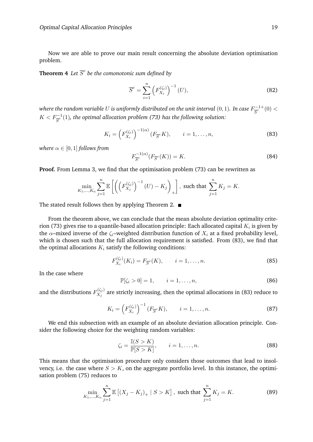Now we are able to prove our main result concerning the absolute deviation optimisation problem.

**Theorem 4** Let  $\overline{S}^c$  be the comonotonic sum defined by

$$
\overline{S}^c = \sum_{i=1}^n \left( F_{X_i}^{(\zeta_i)} \right)^{-1} (U), \tag{82}
$$

where the random variable  $U$  is uniformly distributed on the unit interval  $(0,1)$ . In case  $F^{-1+}_{\overline{c}^c}$  $\frac{1}{S^c}$  + (0) <  $K< F_{\overline{S}^c}^{-1}(1)$ , the optimal allocation problem (73) has the following solution:

$$
K_i = \left(F_{X_i}^{(\zeta_i)}\right)^{-1(\alpha)} (F_{\overline{S}}^c K), \qquad i = 1, \dots, n,
$$
\n(83)

*where*  $\alpha \in [0, 1]$  *follows from* 

$$
F_{\overline{S}^c}^{-1(\alpha)}(F_{\overline{S}^c}(K)) = K.
$$
 (84)

**Proof.** From Lemma 3, we find that the optimisation problem (73) can be rewritten as

$$
\min_{K_1,\dots,K_n} \sum_{j=1}^n \mathbb{E}\left[ \left( \left( F_{X_j}^{(\zeta_j)} \right)^{-1} (U) - K_j \right)_+ \right], \text{ such that } \sum_{j=1}^n K_j = K.
$$

The stated result follows then by applying Theorem 2.  $\blacksquare$ 

From the theorem above, we can conclude that the mean absolute deviation optimality criterion (73) gives rise to a quantile-based allocation principle: Each allocated capital  $K_i$  is given by the  $\alpha$ –mixed inverse of the  $\zeta_i$ –weighted distribution function of  $X_i$  at a fixed probability level, which is chosen such that the full allocation requirement is satisfied. From (83), we find that the optimal allocations  $K_i$  satisfy the following conditions:

$$
F_{X_i}^{(\zeta_i)}(K_i) = F_{\overline{S}^c}(K), \qquad i = 1, \dots, n.
$$
 (85)

In the case where

$$
\mathbb{P}[\zeta_i > 0] = 1, \qquad i = 1, \dots, n,
$$
\n(86)

and the distributions  $F_{X_i}^{(\zeta_j)}$  $\chi_{X_j}^{(x_j)}$  are strictly increasing, then the optimal allocations in (83) reduce to

$$
K_i = \left(F_{X_i}^{(\zeta_i)}\right)^{-1} (F_{\overline{S}}^c K), \qquad i = 1, \dots, n. \tag{87}
$$

We end this subsection with an example of an absolute deviation allocation principle. Consider the following choice for the weighting random variables:

$$
\zeta_i = \frac{\mathbb{I}(S > K)}{\mathbb{P}[S > K]}, \qquad i = 1, \dots, n. \tag{88}
$$

This means that the optimisation procedure only considers those outcomes that lead to insolvency, i.e. the case where  $S > K$ , on the aggregate portfolio level. In this instance, the optimisation problem (75) reduces to

$$
\min_{K_1,\dots,K_n} \sum_{j=1}^n \mathbb{E}\left[ (X_j - K_j)_+ \mid S > K \right], \text{ such that } \sum_{j=1}^n K_j = K. \tag{89}
$$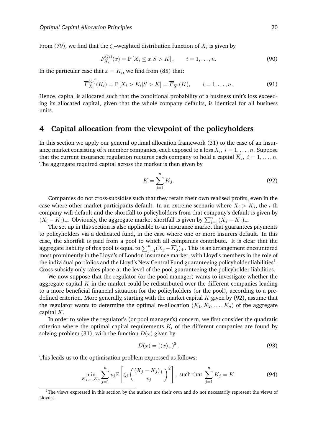From (79), we find that the  $\zeta_i$ –weighted distribution function of  $X_i$  is given by

$$
F_{X_i}^{(\zeta_i)}(x) = \mathbb{P}\left[X_i \le x | S > K\right], \qquad i = 1, \dots, n. \tag{90}
$$

In the particular case that  $x = K_i$ , we find from (85) that:

$$
\overline{F}_{X_i}^{(\zeta_i)}(K_i) = \mathbb{P}\left[X_i > K_i | S > K\right] = \overline{F}_{\overline{S}^c}(K), \qquad i = 1, \dots, n. \tag{91}
$$

Hence, capital is allocated such that the conditional probability of a business unit's loss exceeding its allocated capital, given that the whole company defaults, is identical for all business units.

## **4 Capital allocation from the viewpoint of the policyholders**

In this section we apply our general optimal allocation framework (31) to the case of an insurance market consisting of  $n$  member companies, each exposed to a loss  $X_i, \ i=1,\ldots,n.$  Suppose that the current insurance regulation requires each company to hold a capital  $K_i, \; i=1,\ldots,n.$ The aggregate required capital across the market is then given by

$$
K = \sum_{j=1}^{n} \overline{K}_{j}.
$$
\n(92)

Companies do not cross-subsidise such that they retain their own realised profits, even in the case where other market participants default. In an extreme scenario where  $X_i > K_i$ , the *i*-th company will default and the shortfall to policyholders from that company's default is given by  $(X_i - \overline{K}_i)_+$ . Obviously, the aggregate market shortfall is given by  $\sum_{j=1}^n (X_j - \overline{K}_j)_+$ .

The set up in this section is also applicable to an insurance market that guarantees payments to policyholders via a dedicated fund, in the case where one or more insurers default. In this case, the shortfall is paid from a pool to which all companies contribute. It is clear that the aggregate liability of this pool is equal to  $\sum_{j=1}^n (X_j - \overline{K}_j)_+$ . This is an arrangement encountered most prominently in the Lloyd's of London insurance market, with Lloyd's members in the role of the individual portfolios and the Lloyd's New Central Fund guaranteeing policyholder liabilities $^1$ . Cross-subsidy only takes place at the level of the pool guaranteeing the policyholder liabilities.

We now suppose that the regulator (or the pool manager) wants to investigate whether the aggregate capital  $K$  in the market could be redistributed over the different companies leading to a more beneficial financial situation for the policyholders (or the pool), according to a predefined criterion. More generally, starting with the market capital  $K$  given by (92), assume that the regulator wants to determine the optimal re-allocation  $(K_1, K_2, \ldots, K_n)$  of the aggregate capital K.

In order to solve the regulator's (or pool manager's) concern, we first consider the quadratic criterion where the optimal capital requirements  $K_i$  of the different companies are found by solving problem (31), with the function  $D(x)$  given by

$$
D(x) = ((x)_+)^2.
$$
 (93)

This leads us to the optimisation problem expressed as follows:

$$
\min_{K_1, ..., K_n} \sum_{j=1}^n v_j \mathbb{E}\left[\zeta_j \left(\frac{(X_j - K_j)_+}{v_j}\right)^2\right], \text{ such that } \sum_{j=1}^n K_j = K. \tag{94}
$$

 $1$ The views expressed in this section by the authors are their own and do not necessarily represent the views of Lloyd's.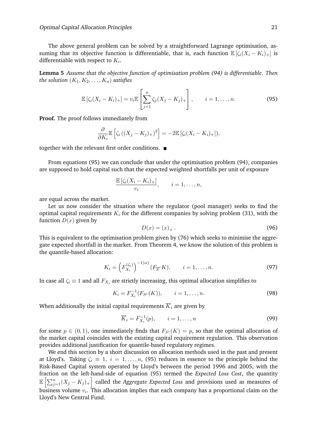The above general problem can be solved by a straightforward Lagrange optimisation, assuming that its objective function is differentiable, that is, each function  $\mathbb{E}[\zeta_i(X_i - K_i)_+]$  is differentiable with respect to  $K_i$ .

**Lemma 5** *Assume that the objective function of optimisation problem (94) is differentiable. Then the solution*  $(K_1, K_2, \ldots, K_n)$  *satisfies* 

$$
\mathbb{E}\left[\zeta_i(X_i - K_i)_+\right] = v_i \mathbb{E}\left[\sum_{j=1}^n \zeta_j(X_j - K_j)_+\right], \qquad i = 1, \dots, n. \tag{95}
$$

**Proof.** The proof follows immediately from

$$
\frac{\partial}{\partial K_i} \mathbb{E}\left[\zeta_i\left((X_j - K_j)_+\right)^2\right] = -2\mathbb{E}\left[\zeta_i(X_i - K_i)_+\right],
$$

together with the relevant first order conditions.

From equations (95) we can conclude that under the optimisation problem (94), companies are supposed to hold capital such that the expected weighted shortfalls per unit of exposure

$$
\frac{\mathbb{E}\left[\zeta_i(X_i-K_i)_+\right]}{v_i}, \qquad i=1,\ldots,n,
$$

are equal across the market.

Let us now consider the situation where the regulator (pool manager) seeks to find the optimal capital requirements  $K_i$  for the different companies by solving problem (31), with the function  $D(x)$  given by

$$
D(x) = (x)_+ \,. \tag{96}
$$

This is equivalent to the optimisation problem given by (76) which seeks to minimise the aggregate expected shortfall in the market. From Theorem 4, we know the solution of this problem is the quantile-based allocation:

$$
K_i = \left( F_{X_i}^{(\zeta_i)} \right)^{-1(\alpha)} (F_{\overline{S}}^c K), \qquad i = 1, \dots, n. \tag{97}
$$

In case all  $\zeta_i \equiv 1$  and all  $F_{X_i}$  are strictly increasing, this optimal allocation simplifies to

$$
K_i = F_{X_i}^{-1}(F_{S^c}(K)), \qquad i = 1, \dots, n. \tag{98}
$$

When additionally the initial capital requirements  $\overline{K}_i$  are given by

$$
\overline{K}_i = F_{X_i}^{-1}(p), \qquad i = 1, \dots, n
$$
\n(99)

for some  $p \in (0,1)$ , one immediately finds that  $F_{S^c}(K) = p$ , so that the optimal allocation of the market capital coincides with the existing capital requirement regulation. This observation provides additional justification for quantile-based regulatory regimes.

We end this section by a short discussion on allocation methods used in the past and present at Lloyd's. Taking  $\zeta_i \equiv 1, i = 1, \ldots, n$ , (95) reduces in essence to the principle behind the Risk-Based Capital system operated by Lloyd's between the period 1996 and 2005, with the fraction on the left-hand-side of equation (95) termed the *Expected Loss Cost*, the quantity  $\mathbb{E}\left[\sum_{j=1}^n(X_j-K_j)_+\right]$  called the *Aggregate Expected Loss* and provisions used as measures of business volume  $v_i$ . This allocation implies that each company has a proportional claim on the Lloyd's New Central Fund.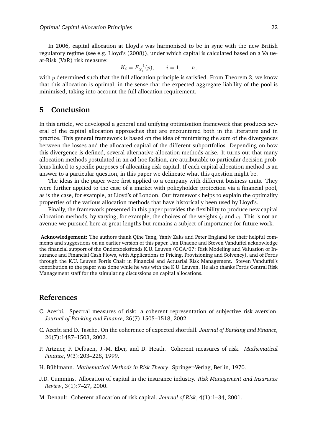In 2006, capital allocation at Lloyd's was harmonised to be in sync with the new British regulatory regime (see e.g. Lloyd's (2008)), under which capital is calculated based on a Valueat-Risk (VaR) risk measure:

$$
K_i = F_{X_i}^{-1}(p), \qquad i = 1, \ldots, n,
$$

with  $p$  determined such that the full allocation principle is satisfied. From Theorem 2, we know that this allocation is optimal, in the sense that the expected aggregate liability of the pool is minimised, taking into account the full allocation requirement.

## **5 Conclusion**

In this article, we developed a general and unifying optimisation framework that produces several of the capital allocation approaches that are encountered both in the literature and in practice. This general framework is based on the idea of minimising the sum of the divergences between the losses and the allocated capital of the different subportfolios. Depending on how this divergence is defined, several alternative allocation methods arise. It turns out that many allocation methods postulated in an ad-hoc fashion, are attributable to particular decision problems linked to specific purposes of allocating risk capital. If each capital allocation method is an answer to a particular question, in this paper we delineate what this question might be.

The ideas in the paper were first applied to a company with different business units. They were further applied to the case of a market with policyholder protection via a financial pool, as is the case, for example, at Lloyd's of London. Our framework helps to explain the optimality properties of the various allocation methods that have historically been used by Lloyd's.

Finally, the framework presented in this paper provides the flexibility to produce new capital allocation methods, by varying, for example, the choices of the weights  $\zeta_i$  and  $v_i.$  This is not an avenue we pursued here at great lengths but remains a subject of importance for future work.

**Acknowledgement:** The authors thank Qihe Tang, Yaniv Zaks and Peter England for their helpful comments and suggestions on an earlier version of this paper. Jan Dhaene and Steven Vanduffel acknowledge the financial support of the Onderzoeksfonds K.U. Leuven (GOA/07: Risk Modeling and Valuation of Insurance and Financial Cash Flows, with Applications to Pricing, Provisioning and Solvency), and of Fortis through the K.U. Leuven Fortis Chair in Financial and Actuarial Risk Management. Steven Vanduffel's contribution to the paper was done while he was with the K.U. Leuven. He also thanks Fortis Central Risk Management staff for the stimulating discussions on capital allocations.

## **References**

- C. Acerbi. Spectral measures of risk: a coherent representation of subjective risk aversion. *Journal of Banking and Finance*, 26(7):1505–1518, 2002.
- C. Acerbi and D. Tasche. On the coherence of expected shortfall. *Journal of Banking and Finance*, 26(7):1487–1503, 2002.
- P. Artzner, F. Delbaen, J.-M. Eber, and D. Heath. Coherent measures of risk. *Mathematical Finance*, 9(3):203–228, 1999.
- H. Buhlmann. ¨ *Mathematical Methods in Risk Theory*. Springer-Verlag, Berlin, 1970.
- J.D. Cummins. Allocation of capital in the insurance industry. *Risk Management and Insurance Review*, 3(1):7–27, 2000.
- M. Denault. Coherent allocation of risk capital. *Journal of Risk*, 4(1):1–34, 2001.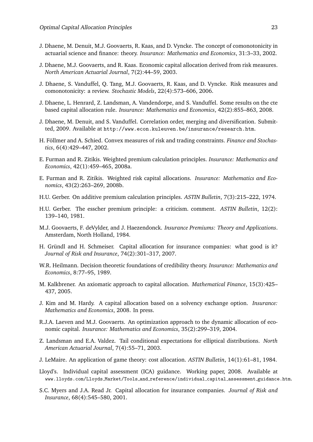- J. Dhaene, M. Denuit, M.J. Goovaerts, R. Kaas, and D. Vyncke. The concept of comonotonicity in actuarial science and finance: theory. *Insurance: Mathematics and Economics*, 31:3–33, 2002.
- J. Dhaene, M.J. Goovaerts, and R. Kaas. Economic capital allocation derived from risk measures. *North American Actuarial Journal*, 7(2):44–59, 2003.
- J. Dhaene, S. Vanduffel, Q. Tang, M.J. Goovaerts, R. Kaas, and D. Vyncke. Risk measures and comonotonicity: a review. *Stochastic Models*, 22(4):573–606, 2006.
- J. Dhaene, L. Henrard, Z. Landsman, A. Vandendorpe, and S. Vanduffel. Some results on the cte based capital allocation rule. *Insurance: Mathematics and Economics*, 42(2):855–863, 2008.
- J. Dhaene, M. Denuit, and S. Vanduffel. Correlation order, merging and diversification. Submitted, 2009. Available at http://www.econ.kuleuven.be/insurance/research.htm.
- H. Föllmer and A. Schied. Convex measures of risk and trading constraints. Finance and Stochas*tics*, 6(4):429–447, 2002.
- E. Furman and R. Zitikis. Weighted premium calculation principles. *Insurance: Mathematics and Economics*, 42(1):459–465, 2008a.
- E. Furman and R. Zitikis. Weighted risk capital allocations. *Insurance: Mathematics and Economics*, 43(2):263–269, 2008b.
- H.U. Gerber. On additive premium calculation principles. *ASTIN Bulletin*, 7(3):215–222, 1974.
- H.U. Gerber. The esscher premium principle: a criticism. comment. *ASTIN Bulletin*, 12(2): 139–140, 1981.
- M.J. Goovaerts, F. deVylder, and J. Haezendonck. *Insurance Premiums: Theory and Applications*. Amsterdam, North Holland, 1984.
- H. Gründl and H. Schmeiser. Capital allocation for insurance companies: what good is it? *Journal of Risk and Insurance*, 74(2):301–317, 2007.
- W.R. Heilmann. Decision theoretic foundations of credibility theory. *Insurance: Mathematics and Economics*, 8:77–95, 1989.
- M. Kalkbrener. An axiomatic approach to capital allocation. *Mathematical Finance*, 15(3):425– 437, 2005.
- J. Kim and M. Hardy. A capital allocation based on a solvency exchange option. *Insurance: Mathematics and Economics*, 2008. In press.
- R.J.A. Laeven and M.J. Goovaerts. An optimization approach to the dynamic allocation of economic capital. *Insurance: Mathematics and Economics*, 35(2):299–319, 2004.
- Z. Landsman and E.A. Valdez. Tail conditional expectations for elliptical distributions. *North American Actuarial Journal*, 7(4):55–71, 2003.
- J. LeMaire. An application of game theory: cost allocation. *ASTIN Bulletin*, 14(1):61–81, 1984.
- Lloyd's. Individual capital assessment (ICA) guidance. Working paper, 2008. Available at www.lloyds.com/Lloyds Market/Tools and reference/individual capital assessment guidance.htm.
- S.C. Myers and J.A. Read Jr. Capital allocation for insurance companies. *Journal of Risk and Insurance*, 68(4):545–580, 2001.